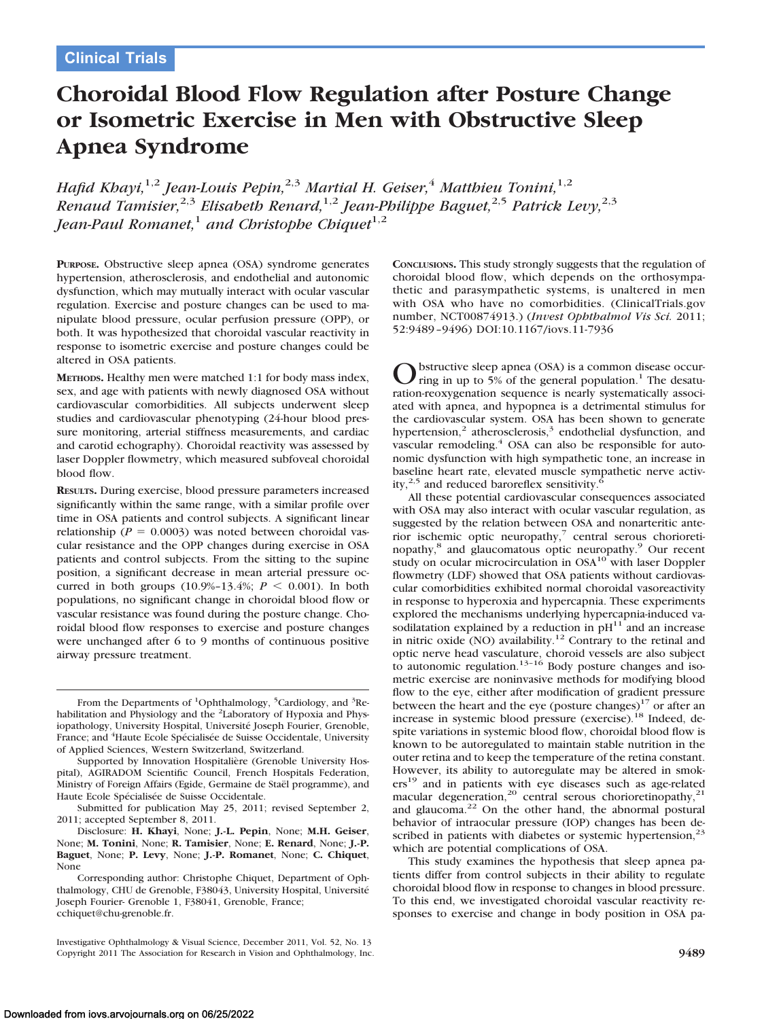# **Choroidal Blood Flow Regulation after Posture Change or Isometric Exercise in Men with Obstructive Sleep Apnea Syndrome**

*Hafid Khayi,*1,2 *Jean-Louis Pepin,*2,3 *Martial H. Geiser,*<sup>4</sup> *Matthieu Tonini,*1,2 *Renaud Tamisier,*2,3 *Elisabeth Renard,*1,2 *Jean-Philippe Baguet,*2,5 *Patrick Levy,*2,3 *Jean-Paul Romanet,<sup>1</sup> and Christophe Chiquet*<sup>1,2</sup>

**PURPOSE.** Obstructive sleep apnea (OSA) syndrome generates hypertension, atherosclerosis, and endothelial and autonomic dysfunction, which may mutually interact with ocular vascular regulation. Exercise and posture changes can be used to manipulate blood pressure, ocular perfusion pressure (OPP), or both. It was hypothesized that choroidal vascular reactivity in response to isometric exercise and posture changes could be altered in OSA patients.

**METHODS.** Healthy men were matched 1:1 for body mass index, sex, and age with patients with newly diagnosed OSA without cardiovascular comorbidities. All subjects underwent sleep studies and cardiovascular phenotyping (24-hour blood pressure monitoring, arterial stiffness measurements, and cardiac and carotid echography). Choroidal reactivity was assessed by laser Doppler flowmetry, which measured subfoveal choroidal blood flow.

**RESULTS.** During exercise, blood pressure parameters increased significantly within the same range, with a similar profile over time in OSA patients and control subjects. A significant linear relationship ( $P = 0.0003$ ) was noted between choroidal vascular resistance and the OPP changes during exercise in OSA patients and control subjects. From the sitting to the supine position, a significant decrease in mean arterial pressure occurred in both groups  $(10.9\% - 13.4\%; P \le 0.001)$ . In both populations, no significant change in choroidal blood flow or vascular resistance was found during the posture change. Choroidal blood flow responses to exercise and posture changes were unchanged after 6 to 9 months of continuous positive airway pressure treatment.

Disclosure: **H. Khayi**, None; **J.-L. Pepin**, None; **M.H. Geiser**, None; **M. Tonini**, None; **R. Tamisier**, None; **E. Renard**, None; **J.-P. Baguet**, None; **P. Levy**, None; **J.-P. Romanet**, None; **C. Chiquet**, None

**CONCLUSIONS.** This study strongly suggests that the regulation of choroidal blood flow, which depends on the orthosympathetic and parasympathetic systems, is unaltered in men with OSA who have no comorbidities. (ClinicalTrials.gov number, NCT00874913.) (*Invest Ophthalmol Vis Sci.* 2011; 52:9489 –9496) DOI:10.1167/iovs.11-7936

Obstructive sleep apnea (OSA) is a common disease occurring in up to 5% of the general population.<sup>1</sup> The desaturation-reoxygenation sequence is nearly systematically associated with apnea, and hypopnea is a detrimental stimulus for the cardiovascular system. OSA has been shown to generate hypertension,<sup>2</sup> atherosclerosis,<sup>3</sup> endothelial dysfunction, and vascular remodeling.<sup>4</sup> OSA can also be responsible for autonomic dysfunction with high sympathetic tone, an increase in baseline heart rate, elevated muscle sympathetic nerve activity,<sup>2,5</sup> and reduced baroreflex sensitivity. $\frac{6}{5}$ 

All these potential cardiovascular consequences associated with OSA may also interact with ocular vascular regulation, as suggested by the relation between OSA and nonarteritic anterior ischemic optic neuropathy, $7$  central serous chorioretinopathy,8 and glaucomatous optic neuropathy.9 Our recent study on ocular microcirculation in OSA<sup>10</sup> with laser Doppler flowmetry (LDF) showed that OSA patients without cardiovascular comorbidities exhibited normal choroidal vasoreactivity in response to hyperoxia and hypercapnia. These experiments explored the mechanisms underlying hypercapnia-induced vasodilatation explained by a reduction in  $pH^{11}$  and an increase in nitric oxide (NO) availability.<sup>12</sup> Contrary to the retinal and optic nerve head vasculature, choroid vessels are also subject<br>to autonomic regulation.<sup>13–16</sup> Body posture changes and isometric exercise are noninvasive methods for modifying blood flow to the eye, either after modification of gradient pressure between the heart and the eye (posture changes) $17$  or after an increase in systemic blood pressure (exercise).<sup>18</sup> Indeed, despite variations in systemic blood flow, choroidal blood flow is known to be autoregulated to maintain stable nutrition in the outer retina and to keep the temperature of the retina constant. However, its ability to autoregulate may be altered in smokers<sup>19</sup> and in patients with eye diseases such as age-related macular degeneration,<sup>20</sup> central serous chorioretinopathy,<sup>21</sup> and glaucoma.22 On the other hand, the abnormal postural behavior of intraocular pressure (IOP) changes has been described in patients with diabetes or systemic hypertension, $2$ which are potential complications of OSA.

This study examines the hypothesis that sleep apnea patients differ from control subjects in their ability to regulate choroidal blood flow in response to changes in blood pressure. To this end, we investigated choroidal vascular reactivity responses to exercise and change in body position in OSA pa-

From the Departments of <sup>1</sup>Ophthalmology, <sup>5</sup>Cardiology, and <sup>3</sup>Rehabilitation and Physiology and the <sup>2</sup>Laboratory of Hypoxia and Physiopathology, University Hospital, Université Joseph Fourier, Grenoble, France; and <sup>4</sup>Haute Ecole Spécialisée de Suisse Occidentale, University of Applied Sciences, Western Switzerland, Switzerland.

Supported by Innovation Hospitalière (Grenoble University Hospital), AGIRADOM Scientific Council, French Hospitals Federation, Ministry of Foreign Affairs (Egide, Germaine de Staël programme), and Haute Ecole Spécialisée de Suisse Occidentale.

Submitted for publication May 25, 2011; revised September 2, 2011; accepted September 8, 2011.

Corresponding author: Christophe Chiquet, Department of Ophthalmology, CHU de Grenoble, F38043, University Hospital, Universite´ Joseph Fourier- Grenoble 1, F38041, Grenoble, France; cchiquet@chu-grenoble.fr.

Investigative Ophthalmology & Visual Science, December 2011, Vol. 52, No. 13 Copyright 2011 The Association for Research in Vision and Ophthalmology, Inc. **9489**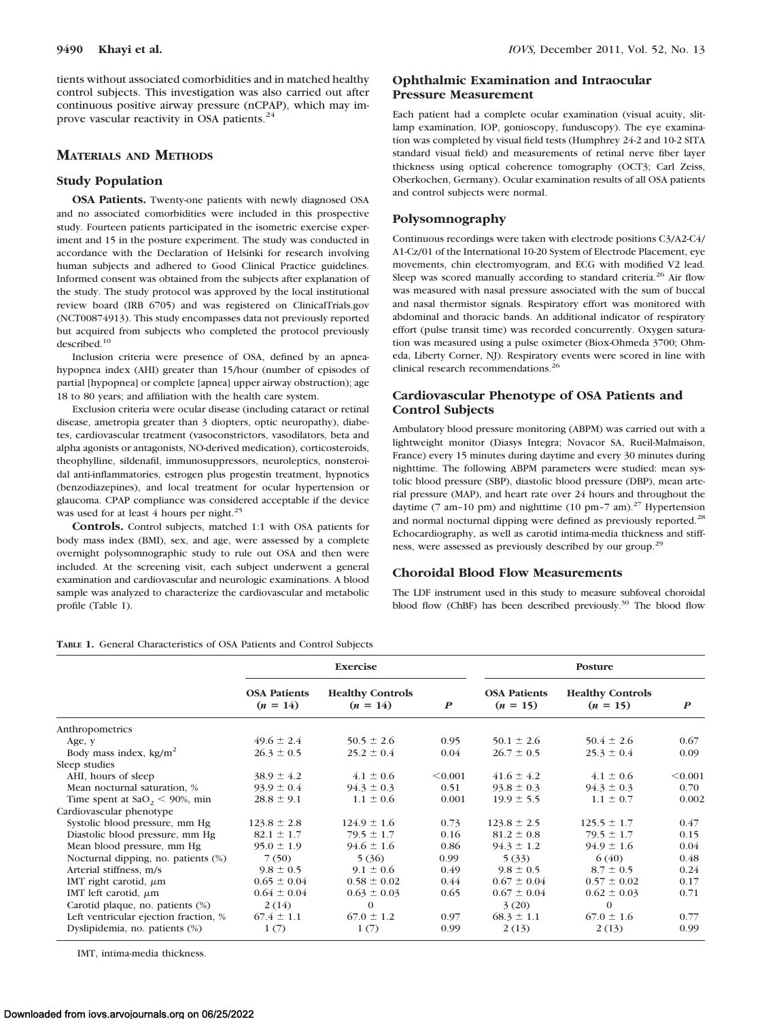tients without associated comorbidities and in matched healthy control subjects. This investigation was also carried out after continuous positive airway pressure (nCPAP), which may improve vascular reactivity in OSA patients.<sup>24</sup>

## **MATERIALS AND METHODS**

#### **Study Population**

**OSA Patients.** Twenty-one patients with newly diagnosed OSA and no associated comorbidities were included in this prospective study. Fourteen patients participated in the isometric exercise experiment and 15 in the posture experiment. The study was conducted in accordance with the Declaration of Helsinki for research involving human subjects and adhered to Good Clinical Practice guidelines. Informed consent was obtained from the subjects after explanation of the study. The study protocol was approved by the local institutional review board (IRB 6705) and was registered on ClinicalTrials.gov (NCT00874913). This study encompasses data not previously reported but acquired from subjects who completed the protocol previously described.10

Inclusion criteria were presence of OSA, defined by an apneahypopnea index (AHI) greater than 15/hour (number of episodes of partial [hypopnea] or complete [apnea] upper airway obstruction); age 18 to 80 years; and affiliation with the health care system.

Exclusion criteria were ocular disease (including cataract or retinal disease, ametropia greater than 3 diopters, optic neuropathy), diabetes, cardiovascular treatment (vasoconstrictors, vasodilators, beta and alpha agonists or antagonists, NO-derived medication), corticosteroids, theophylline, sildenafil, immunosuppressors, neuroleptics, nonsteroidal anti-inflammatories, estrogen plus progestin treatment, hypnotics (benzodiazepines), and local treatment for ocular hypertension or glaucoma. CPAP compliance was considered acceptable if the device was used for at least 4 hours per night.<sup>25</sup>

**Controls.** Control subjects, matched 1:1 with OSA patients for body mass index (BMI), sex, and age, were assessed by a complete overnight polysomnographic study to rule out OSA and then were included. At the screening visit, each subject underwent a general examination and cardiovascular and neurologic examinations. A blood sample was analyzed to characterize the cardiovascular and metabolic profile (Table 1).

# **Ophthalmic Examination and Intraocular Pressure Measurement**

Each patient had a complete ocular examination (visual acuity, slitlamp examination, IOP, gonioscopy, funduscopy). The eye examination was completed by visual field tests (Humphrey 24-2 and 10-2 SITA standard visual field) and measurements of retinal nerve fiber layer thickness using optical coherence tomography (OCT3; Carl Zeiss, Oberkochen, Germany). Ocular examination results of all OSA patients and control subjects were normal.

## **Polysomnography**

Continuous recordings were taken with electrode positions C3/A2-C4/ A1-Cz/01 of the International 10-20 System of Electrode Placement, eye movements, chin electromyogram, and ECG with modified V2 lead. Sleep was scored manually according to standard criteria.<sup>26</sup> Air flow was measured with nasal pressure associated with the sum of buccal and nasal thermistor signals. Respiratory effort was monitored with abdominal and thoracic bands. An additional indicator of respiratory effort (pulse transit time) was recorded concurrently. Oxygen saturation was measured using a pulse oximeter (Biox-Ohmeda 3700; Ohmeda, Liberty Corner, NJ). Respiratory events were scored in line with clinical research recommendations.<sup>26</sup>

# **Cardiovascular Phenotype of OSA Patients and Control Subjects**

Ambulatory blood pressure monitoring (ABPM) was carried out with a lightweight monitor (Diasys Integra; Novacor SA, Rueil-Malmaison, France) every 15 minutes during daytime and every 30 minutes during nighttime. The following ABPM parameters were studied: mean systolic blood pressure (SBP), diastolic blood pressure (DBP), mean arterial pressure (MAP), and heart rate over 24 hours and throughout the daytime (7 am–10 pm) and nighttime (10 pm–7 am).<sup>27</sup> Hypertension and normal nocturnal dipping were defined as previously reported.<sup>28</sup> Echocardiography, as well as carotid intima-media thickness and stiffness, were assessed as previously described by our group.29

## **Choroidal Blood Flow Measurements**

The LDF instrument used in this study to measure subfoveal choroidal blood flow (ChBF) has been described previously.<sup>30</sup> The blood flow

**TABLE 1.** General Characteristics of OSA Patients and Control Subjects

|                                              | <b>Exercise</b>                   |                                       |                  | Posture                           |                                       |                  |  |
|----------------------------------------------|-----------------------------------|---------------------------------------|------------------|-----------------------------------|---------------------------------------|------------------|--|
|                                              | <b>OSA Patients</b><br>$(n = 14)$ | <b>Healthy Controls</b><br>$(n = 14)$ | $\boldsymbol{P}$ | <b>OSA Patients</b><br>$(n = 15)$ | <b>Healthy Controls</b><br>$(n = 15)$ | $\boldsymbol{P}$ |  |
| Anthropometrics                              |                                   |                                       |                  |                                   |                                       |                  |  |
| Age, y                                       | $49.6 \pm 2.4$                    | $50.5 \pm 2.6$                        | 0.95             | $50.1 \pm 2.6$                    | $50.4 \pm 2.6$                        | 0.67             |  |
| Body mass index, $kg/m2$                     | $26.3 \pm 0.5$                    | $25.2 \pm 0.4$                        | 0.04             | $26.7 \pm 0.5$                    | $25.3 \pm 0.4$                        | 0.09             |  |
| Sleep studies                                |                                   |                                       |                  |                                   |                                       |                  |  |
| AHI, hours of sleep                          | $38.9 \pm 4.2$                    | $4.1 \pm 0.6$                         | < 0.001          | $41.6 \pm 4.2$                    | $4.1 \pm 0.6$                         | < 0.001          |  |
| Mean nocturnal saturation, %                 | $93.9 \pm 0.4$                    | $94.3 \pm 0.3$                        | 0.51             | $93.8 \pm 0.3$                    | $94.3 \pm 0.3$                        | 0.70             |  |
| Time spent at $\text{SaO}_2 \leq 90\%$ , min | $28.8 \pm 9.1$                    | $1.1 \pm 0.6$                         | 0.001            | $19.9 \pm 5.5$                    | $1.1 \pm 0.7$                         | 0.002            |  |
| Cardiovascular phenotype                     |                                   |                                       |                  |                                   |                                       |                  |  |
| Systolic blood pressure, mm Hg               | $123.8 \pm 2.8$                   | $124.9 \pm 1.6$                       | 0.73             | $123.8 \pm 2.5$                   | $125.5 \pm 1.7$                       | 0.47             |  |
| Diastolic blood pressure, mm Hg              | $82.1 \pm 1.7$                    | $79.5 \pm 1.7$                        | 0.16             | $81.2 \pm 0.8$                    | $79.5 \pm 1.7$                        | 0.15             |  |
| Mean blood pressure, mm Hg                   | $95.0 \pm 1.9$                    | $94.6 \pm 1.6$                        | 0.86             | $94.3 \pm 1.2$                    | $94.9 \pm 1.6$                        | 0.04             |  |
| Nocturnal dipping, no. patients (%)          | 7(50)                             | 5(36)                                 | 0.99             | 5(33)                             | 6(40)                                 | 0.48             |  |
| Arterial stiffness, m/s                      | $9.8 \pm 0.5$                     | $9.1 \pm 0.6$                         | 0.49             | $9.8 \pm 0.5$                     | $8.7 \pm 0.5$                         | 0.24             |  |
| IMT right carotid, $\mu$ m                   | $0.65 \pm 0.04$                   | $0.58 \pm 0.02$                       | 0.44             | $0.67 \pm 0.04$                   | $0.57 \pm 0.02$                       | 0.17             |  |
| IMT left carotid, $\mu$ m                    | $0.64 \pm 0.04$                   | $0.63 \pm 0.03$                       | 0.65             | $0.67 \pm 0.04$                   | $0.62 \pm 0.03$                       | 0.71             |  |
| Carotid plaque, no. patients (%)             | 2(14)                             | $\theta$                              |                  | 3(20)                             | $\Omega$                              |                  |  |
| Left ventricular ejection fraction, %        | $67.4 \pm 1.1$                    | $67.0 \pm 1.2$                        | 0.97             | $68.3 \pm 1.1$                    | $67.0 \pm 1.6$                        | 0.77             |  |
| Dyslipidemia, no. patients (%)               | 1(7)                              | 1(7)                                  | 0.99             | 2(13)                             | 2(13)                                 | 0.99             |  |

IMT, intima-media thickness.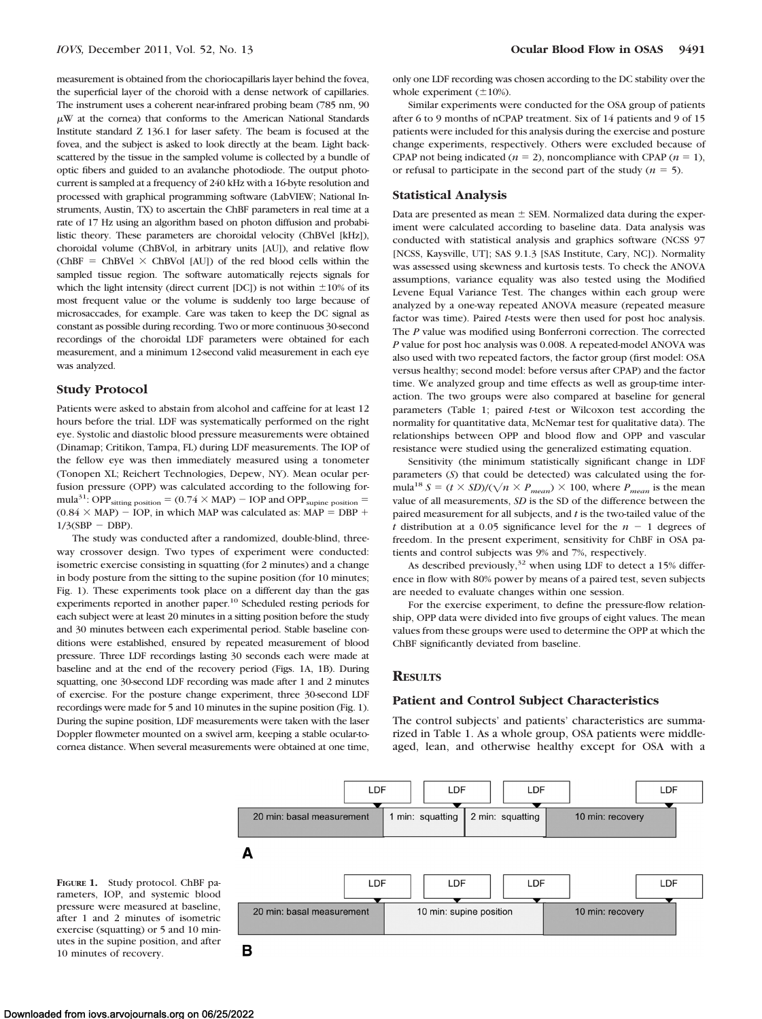measurement is obtained from the choriocapillaris layer behind the fovea, the superficial layer of the choroid with a dense network of capillaries. The instrument uses a coherent near-infrared probing beam (785 nm, 90  $\mu$ W at the cornea) that conforms to the American National Standards Institute standard Z 136.1 for laser safety. The beam is focused at the fovea, and the subject is asked to look directly at the beam. Light backscattered by the tissue in the sampled volume is collected by a bundle of optic fibers and guided to an avalanche photodiode. The output photocurrent is sampled at a frequency of 240 kHz with a 16-byte resolution and processed with graphical programming software (LabVIEW; National Instruments, Austin, TX) to ascertain the ChBF parameters in real time at a rate of 17 Hz using an algorithm based on photon diffusion and probabilistic theory. These parameters are choroidal velocity (ChBVel [kHz]), choroidal volume (ChBVol, in arbitrary units [AU]), and relative flow (ChBF = ChBVel  $\times$  ChBVol [AU]) of the red blood cells within the sampled tissue region. The software automatically rejects signals for which the light intensity (direct current [DC]) is not within  $\pm 10\%$  of its most frequent value or the volume is suddenly too large because of microsaccades, for example. Care was taken to keep the DC signal as constant as possible during recording. Two or more continuous 30-second recordings of the choroidal LDF parameters were obtained for each measurement, and a minimum 12-second valid measurement in each eye was analyzed.

#### **Study Protocol**

Patients were asked to abstain from alcohol and caffeine for at least 12 hours before the trial. LDF was systematically performed on the right eye. Systolic and diastolic blood pressure measurements were obtained (Dinamap; Critikon, Tampa, FL) during LDF measurements. The IOP of the fellow eye was then immediately measured using a tonometer (Tonopen XL; Reichert Technologies, Depew, NY). Mean ocular perfusion pressure (OPP) was calculated according to the following formula<sup>31</sup>: OPP<sub>sitting position</sub> =  $(0.74 \times \text{MAP})$  - IOP and OPP<sub>supine position</sub> =  $(0.84 \times \text{MAP})$  – IOP, in which MAP was calculated as: MAP = DBP +  $1/3(SBP - DBP)$ .

The study was conducted after a randomized, double-blind, threeway crossover design. Two types of experiment were conducted: isometric exercise consisting in squatting (for 2 minutes) and a change in body posture from the sitting to the supine position (for 10 minutes; Fig. 1). These experiments took place on a different day than the gas experiments reported in another paper.<sup>10</sup> Scheduled resting periods for each subject were at least 20 minutes in a sitting position before the study and 30 minutes between each experimental period. Stable baseline conditions were established, ensured by repeated measurement of blood pressure. Three LDF recordings lasting 30 seconds each were made at baseline and at the end of the recovery period (Figs. 1A, 1B). During squatting, one 30-second LDF recording was made after 1 and 2 minutes of exercise. For the posture change experiment, three 30-second LDF recordings were made for 5 and 10 minutes in the supine position (Fig. 1). During the supine position, LDF measurements were taken with the laser Doppler flowmeter mounted on a swivel arm, keeping a stable ocular-tocornea distance. When several measurements were obtained at one time,

only one LDF recording was chosen according to the DC stability over the whole experiment  $(\pm 10\%)$ .

Similar experiments were conducted for the OSA group of patients after 6 to 9 months of nCPAP treatment. Six of 14 patients and 9 of 15 patients were included for this analysis during the exercise and posture change experiments, respectively. Others were excluded because of CPAP not being indicated ( $n = 2$ ), noncompliance with CPAP ( $n = 1$ ), or refusal to participate in the second part of the study  $(n = 5)$ .

#### **Statistical Analysis**

Data are presented as mean  $\pm$  SEM. Normalized data during the experiment were calculated according to baseline data. Data analysis was conducted with statistical analysis and graphics software (NCSS 97 [NCSS, Kaysville, UT]; SAS 9.1.3 [SAS Institute, Cary, NC]). Normality was assessed using skewness and kurtosis tests. To check the ANOVA assumptions, variance equality was also tested using the Modified Levene Equal Variance Test. The changes within each group were analyzed by a one-way repeated ANOVA measure (repeated measure factor was time). Paired *t*-tests were then used for post hoc analysis. The *P* value was modified using Bonferroni correction. The corrected *P* value for post hoc analysis was 0.008. A repeated-model ANOVA was also used with two repeated factors, the factor group (first model: OSA versus healthy; second model: before versus after CPAP) and the factor time. We analyzed group and time effects as well as group-time interaction. The two groups were also compared at baseline for general parameters (Table 1; paired *t*-test or Wilcoxon test according the normality for quantitative data, McNemar test for qualitative data). The relationships between OPP and blood flow and OPP and vascular resistance were studied using the generalized estimating equation.

Sensitivity (the minimum statistically significant change in LDF parameters (*S*) that could be detected) was calculated using the formula<sup>18</sup>  $S = (t \times SD)/(\sqrt{n} \times P_{mean}) \times 100$ , where  $P_{mean}$  is the mean value of all measurements, *SD* is the SD of the difference between the paired measurement for all subjects, and *t* is the two-tailed value of the *t* distribution at a 0.05 significance level for the  $n - 1$  degrees of freedom. In the present experiment, sensitivity for ChBF in OSA patients and control subjects was 9% and 7%, respectively.

As described previously,  $32$  when using LDF to detect a 15% difference in flow with 80% power by means of a paired test, seven subjects are needed to evaluate changes within one session.

For the exercise experiment, to define the pressure-flow relationship, OPP data were divided into five groups of eight values. The mean values from these groups were used to determine the OPP at which the ChBF significantly deviated from baseline.

## **RESULTS**

### **Patient and Control Subject Characteristics**

The control subjects' and patients' characteristics are summarized in Table 1. As a whole group, OSA patients were middleaged, lean, and otherwise healthy except for OSA with a



**FIGURE 1.** Study protocol. ChBF parameters, IOP, and systemic blood pressure were measured at baseline, after 1 and 2 minutes of isometric exercise (squatting) or 5 and 10 minutes in the supine position, and after 10 minutes of recovery.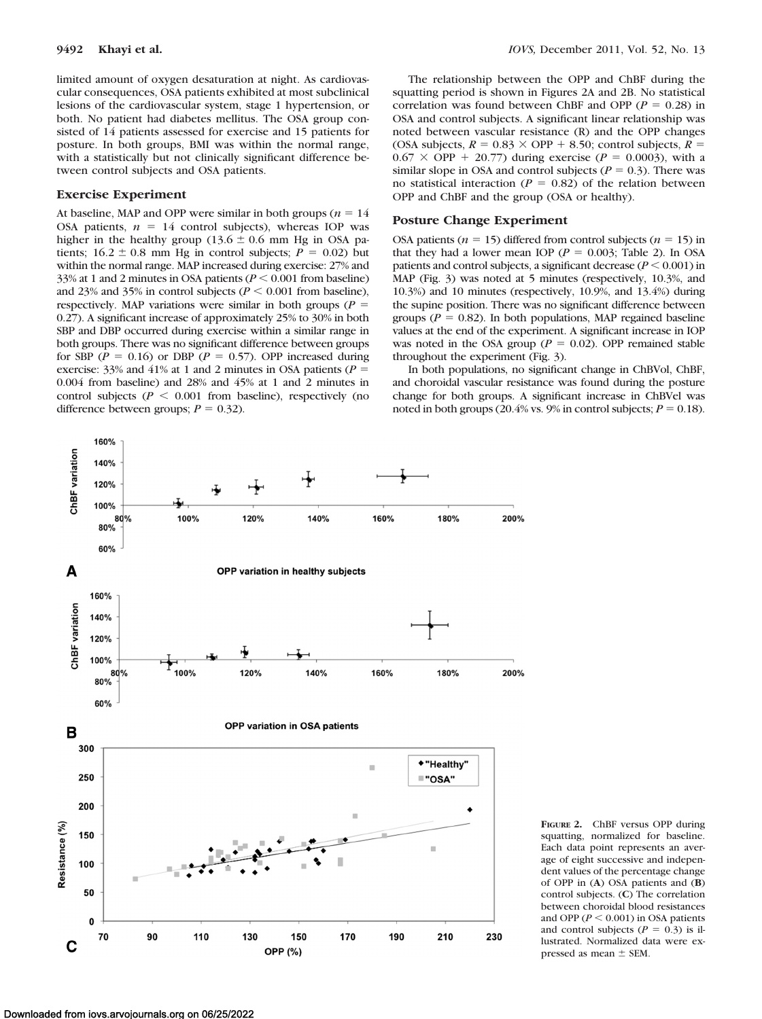limited amount of oxygen desaturation at night. As cardiovascular consequences, OSA patients exhibited at most subclinical lesions of the cardiovascular system, stage 1 hypertension, or both. No patient had diabetes mellitus. The OSA group consisted of 14 patients assessed for exercise and 15 patients for posture. In both groups, BMI was within the normal range, with a statistically but not clinically significant difference between control subjects and OSA patients.

#### **Exercise Experiment**

At baseline, MAP and OPP were similar in both groups ( $n = 14$ ) OSA patients,  $n = 14$  control subjects), whereas IOP was higher in the healthy group (13.6  $\pm$  0.6 mm Hg in OSA patients;  $16.2 \pm 0.8$  mm Hg in control subjects;  $P = 0.02$ ) but within the normal range. MAP increased during exercise: 27% and 33% at 1 and 2 minutes in OSA patients  $(P < 0.001$  from baseline) and 23% and 35% in control subjects ( $P \le 0.001$  from baseline), respectively. MAP variations were similar in both groups ( $P =$ 0.27). A significant increase of approximately 25% to 30% in both SBP and DBP occurred during exercise within a similar range in both groups. There was no significant difference between groups for SBP ( $P = 0.16$ ) or DBP ( $P = 0.57$ ). OPP increased during exercise:  $33\%$  and  $41\%$  at 1 and 2 minutes in OSA patients ( $P =$ 0.004 from baseline) and 28% and 45% at 1 and 2 minutes in control subjects ( $P < 0.001$  from baseline), respectively (no difference between groups;  $P = 0.32$ ).

The relationship between the OPP and ChBF during the squatting period is shown in Figures 2A and 2B. No statistical correlation was found between ChBF and OPP ( $P = 0.28$ ) in OSA and control subjects. A significant linear relationship was noted between vascular resistance (R) and the OPP changes (OSA subjects,  $R = 0.83 \times$  OPP  $+ 8.50$ ; control subjects,  $R =$  $0.67 \times$  OPP + 20.77) during exercise (*P* = 0.0003), with a similar slope in OSA and control subjects ( $P = 0.3$ ). There was no statistical interaction ( $P = 0.82$ ) of the relation between OPP and ChBF and the group (OSA or healthy).

#### **Posture Change Experiment**

OSA patients ( $n = 15$ ) differed from control subjects ( $n = 15$ ) in that they had a lower mean IOP ( $P = 0.003$ ; Table 2). In OSA patients and control subjects, a significant decrease  $(P \le 0.001)$  in MAP (Fig. 3) was noted at 5 minutes (respectively, 10.3%, and 10.3%) and 10 minutes (respectively, 10.9%, and 13.4%) during the supine position. There was no significant difference between groups ( $P = 0.82$ ). In both populations, MAP regained baseline values at the end of the experiment. A significant increase in IOP was noted in the OSA group ( $P = 0.02$ ). OPP remained stable throughout the experiment (Fig. 3).

In both populations, no significant change in ChBVol, ChBF, and choroidal vascular resistance was found during the posture change for both groups. A significant increase in ChBVel was noted in both groups (20.4% vs. 9% in control subjects;  $P = 0.18$ ).



**FIGURE 2.** ChBF versus OPP during squatting, normalized for baseline. Each data point represents an average of eight successive and independent values of the percentage change of OPP in (**A**) OSA patients and (**B**) control subjects. (**C**) The correlation between choroidal blood resistances and OPP  $(P < 0.001)$  in OSA patients and control subjects  $(P = 0.3)$  is illustrated. Normalized data were expressed as mean  $\pm$  SEM.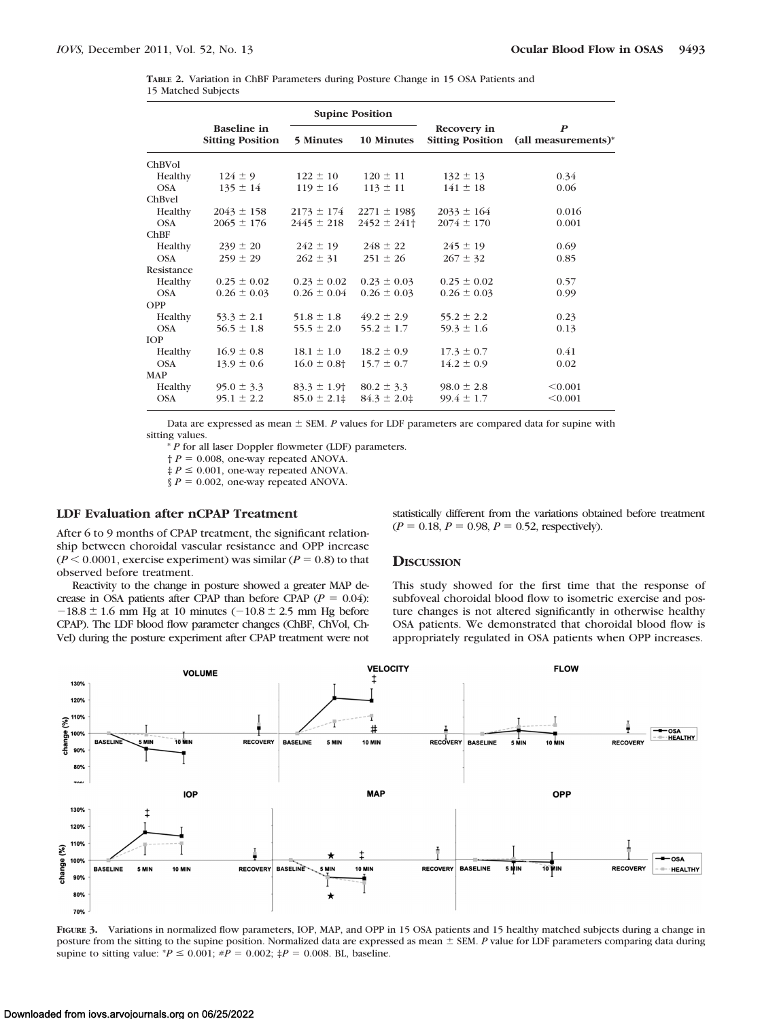| TABLE 2. Variation in ChBF Parameters during Posture Change in 15 OSA Patients and |  |  |  |  |  |
|------------------------------------------------------------------------------------|--|--|--|--|--|
| 15 Matched Subjects                                                                |  |  |  |  |  |

|            |                                               |                             | <b>Supine Position</b> |                                        |                                         |  |  |
|------------|-----------------------------------------------|-----------------------------|------------------------|----------------------------------------|-----------------------------------------|--|--|
|            | <b>Baseline</b> in<br><b>Sitting Position</b> | 5 Minutes                   | 10 Minutes             | Recovery in<br><b>Sitting Position</b> | $\boldsymbol{P}$<br>(all measurements)* |  |  |
| ChBVol     |                                               |                             |                        |                                        |                                         |  |  |
| Healthy    | $124 \pm 9$                                   | $122 \pm 10$                | $120 \pm 11$           | $132 \pm 13$                           | 0.34                                    |  |  |
| <b>OSA</b> | $135 \pm 14$                                  | $119 \pm 16$                | $113 \pm 11$           | $141 \pm 18$                           | 0.06                                    |  |  |
| ChBvel     |                                               |                             |                        |                                        |                                         |  |  |
| Healthy    | $2043 \pm 158$                                | $2173 \pm 174$              | $2271 \pm 198$         | $2033 \pm 164$                         | 0.016                                   |  |  |
| <b>OSA</b> | $2065 \pm 176$                                | $2445 \pm 218$              | $2452 \pm 241$         | $2074 \pm 170$                         | 0.001                                   |  |  |
| ChBF       |                                               |                             |                        |                                        |                                         |  |  |
| Healthy    | $239 \pm 20$                                  | $242 \pm 19$                | $248 \pm 22$           | $245 \pm 19$                           | 0.69                                    |  |  |
| <b>OSA</b> | $259 \pm 29$                                  | $262 \pm 31$                | $251 \pm 26$           | $267 \pm 32$                           | 0.85                                    |  |  |
| Resistance |                                               |                             |                        |                                        |                                         |  |  |
| Healthy    | $0.25 \pm 0.02$                               | $0.23 \pm 0.02$             | $0.23 \pm 0.03$        | $0.25 \pm 0.02$                        | 0.57                                    |  |  |
| <b>OSA</b> | $0.26 \pm 0.03$                               | $0.26 \pm 0.04$             | $0.26 \pm 0.03$        | $0.26 \pm 0.03$                        | 0.99                                    |  |  |
| OPP        |                                               |                             |                        |                                        |                                         |  |  |
| Healthy    | $53.3 \pm 2.1$                                | $51.8 \pm 1.8$              | $49.2 \pm 2.9$         | $55.2 \pm 2.2$                         | 0.23                                    |  |  |
| <b>OSA</b> | $56.5 \pm 1.8$                                | $55.5 \pm 2.0$              | $55.2 \pm 1.7$         | $59.3 \pm 1.6$                         | 0.13                                    |  |  |
| <b>IOP</b> |                                               |                             |                        |                                        |                                         |  |  |
| Healthy    | $16.9 \pm 0.8$                                | $18.1 \pm 1.0$              | $18.2 \pm 0.9$         | $17.3 \pm 0.7$                         | 0.41                                    |  |  |
| <b>OSA</b> | $13.9 \pm 0.6$                                | $16.0 \pm 0.8$ <sup>+</sup> | $15.7 \pm 0.7$         | $14.2 \pm 0.9$                         | 0.02                                    |  |  |
| <b>MAP</b> |                                               |                             |                        |                                        |                                         |  |  |
| Healthy    | $95.0 \pm 3.3$                                | $83.3 \pm 1.9$              | $80.2 \pm 3.3$         | $98.0 \pm 2.8$                         | < 0.001                                 |  |  |
| <b>OSA</b> | $95.1 \pm 2.2$                                | $85.0 \pm 2.1 \pm$          | $84.3 \pm 2.0$         | $99.4 \pm 1.7$                         | < 0.001                                 |  |  |

Data are expressed as mean  $\pm$  SEM. *P* values for LDF parameters are compared data for supine with sitting values.

\* *P* for all laser Doppler flowmeter (LDF) parameters.

 $\dagger P = 0.008$ , one-way repeated ANOVA.

 $\ddagger$  *P*  $\leq$  0.001, one-way repeated ANOVA.

 $\oint P = 0.002$ , one-way repeated ANOVA.

# **LDF Evaluation after nCPAP Treatment**

After 6 to 9 months of CPAP treatment, the significant relationship between choroidal vascular resistance and OPP increase  $(P < 0.0001$ , exercise experiment) was similar  $(P = 0.8)$  to that observed before treatment.

Reactivity to the change in posture showed a greater MAP decrease in OSA patients after CPAP than before CPAP  $(P = 0.04)$ :  $-18.8 \pm 1.6$  mm Hg at 10 minutes ( $-10.8 \pm 2.5$  mm Hg before CPAP). The LDF blood flow parameter changes (ChBF, ChVol, Ch-Vel) during the posture experiment after CPAP treatment were not statistically different from the variations obtained before treatment  $(P = 0.18, P = 0.98, P = 0.52$ , respectively).

#### **DISCUSSION**

This study showed for the first time that the response of subfoveal choroidal blood flow to isometric exercise and posture changes is not altered significantly in otherwise healthy OSA patients. We demonstrated that choroidal blood flow is appropriately regulated in OSA patients when OPP increases.



**FIGURE 3.** Variations in normalized flow parameters, IOP, MAP, and OPP in 15 OSA patients and 15 healthy matched subjects during a change in posture from the sitting to the supine position. Normalized data are expressed as mean  $\pm$  SEM. *P* value for LDF parameters comparing data during supine to sitting value:  $*P \le 0.001$ ;  $*P = 0.002$ ;  $\ddagger P = 0.008$ . BL, baseline.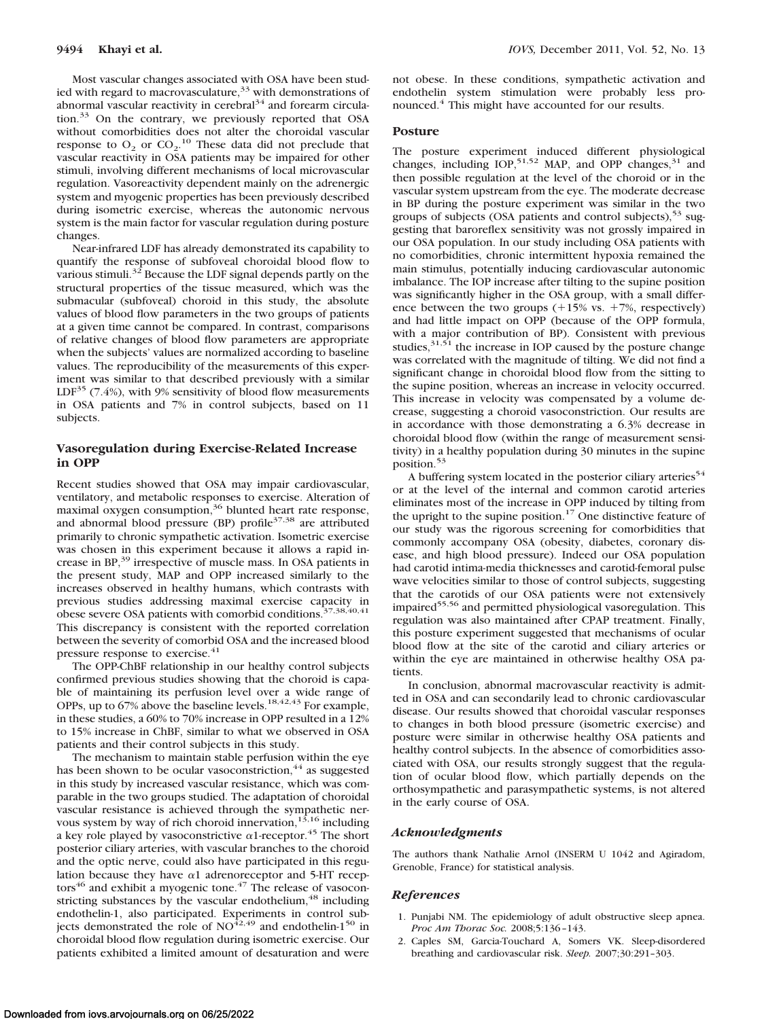Most vascular changes associated with OSA have been studied with regard to macrovasculature,  $33$  with demonstrations of abnormal vascular reactivity in cerebral $34$  and forearm circulation.<sup>33</sup> On the contrary, we previously reported that OSA without comorbidities does not alter the choroidal vascular response to  $O_2$  or  $CO_2$ .<sup>10</sup> These data did not preclude that vascular reactivity in OSA patients may be impaired for other stimuli, involving different mechanisms of local microvascular regulation. Vasoreactivity dependent mainly on the adrenergic system and myogenic properties has been previously described during isometric exercise, whereas the autonomic nervous system is the main factor for vascular regulation during posture changes.

Near-infrared LDF has already demonstrated its capability to quantify the response of subfoveal choroidal blood flow to various stimuli.<sup>32</sup> Because the LDF signal depends partly on the structural properties of the tissue measured, which was the submacular (subfoveal) choroid in this study, the absolute values of blood flow parameters in the two groups of patients at a given time cannot be compared. In contrast, comparisons of relative changes of blood flow parameters are appropriate when the subjects' values are normalized according to baseline values. The reproducibility of the measurements of this experiment was similar to that described previously with a similar  $LDF<sup>35</sup>$  (7.4%), with 9% sensitivity of blood flow measurements in OSA patients and 7% in control subjects, based on 11 subjects.

## **Vasoregulation during Exercise-Related Increase in OPP**

Recent studies showed that OSA may impair cardiovascular, ventilatory, and metabolic responses to exercise. Alteration of maximal oxygen consumption,<sup>36</sup> blunted heart rate response, and abnormal blood pressure (BP) profile $37,38$  are attributed primarily to chronic sympathetic activation. Isometric exercise was chosen in this experiment because it allows a rapid increase in BP,<sup>39</sup> irrespective of muscle mass. In OSA patients in the present study, MAP and OPP increased similarly to the increases observed in healthy humans, which contrasts with previous studies addressing maximal exercise capacity in obese severe OSA patients with comorbid conditions.<sup>37,38,40,41</sup> This discrepancy is consistent with the reported correlation between the severity of comorbid OSA and the increased blood pressure response to exercise.<sup>41</sup>

The OPP-ChBF relationship in our healthy control subjects confirmed previous studies showing that the choroid is capable of maintaining its perfusion level over a wide range of OPPs, up to 67% above the baseline levels.<sup>18,42,43</sup> For example, in these studies, a 60% to 70% increase in OPP resulted in a 12% to 15% increase in ChBF, similar to what we observed in OSA patients and their control subjects in this study.

The mechanism to maintain stable perfusion within the eye has been shown to be ocular vasoconstriction,  $44$  as suggested in this study by increased vascular resistance, which was comparable in the two groups studied. The adaptation of choroidal vascular resistance is achieved through the sympathetic nervous system by way of rich choroid innervation,  $1^{\overline{3},16}$  including a key role played by vasoconstrictive  $\alpha$ 1-receptor.<sup>45</sup> The short posterior ciliary arteries, with vascular branches to the choroid and the optic nerve, could also have participated in this regulation because they have  $\alpha$ 1 adrenoreceptor and 5-HT receptors<sup>46</sup> and exhibit a myogenic tone.<sup>47</sup> The release of vasoconstricting substances by the vascular endothelium,<sup>48</sup> including endothelin-1, also participated. Experiments in control subjects demonstrated the role of  $NO<sup>42,49</sup>$  and endothelin-1<sup>50</sup> in choroidal blood flow regulation during isometric exercise. Our patients exhibited a limited amount of desaturation and were

not obese. In these conditions, sympathetic activation and endothelin system stimulation were probably less pronounced.4 This might have accounted for our results.

#### **Posture**

The posture experiment induced different physiological changes, including  $IOP<sub>15152</sub>$  MAP, and OPP changes,<sup>31</sup> and then possible regulation at the level of the choroid or in the vascular system upstream from the eye. The moderate decrease in BP during the posture experiment was similar in the two groups of subjects (OSA patients and control subjects),  $53 \text{ sug-}$ gesting that baroreflex sensitivity was not grossly impaired in our OSA population. In our study including OSA patients with no comorbidities, chronic intermittent hypoxia remained the main stimulus, potentially inducing cardiovascular autonomic imbalance. The IOP increase after tilting to the supine position was significantly higher in the OSA group, with a small difference between the two groups  $(+15\% \text{ vs. } +7\%, \text{ respectively})$ and had little impact on OPP (because of the OPP formula, with a major contribution of BP). Consistent with previous studies, $31,51$  the increase in IOP caused by the posture change was correlated with the magnitude of tilting. We did not find a significant change in choroidal blood flow from the sitting to the supine position, whereas an increase in velocity occurred. This increase in velocity was compensated by a volume decrease, suggesting a choroid vasoconstriction. Our results are in accordance with those demonstrating a 6.3% decrease in choroidal blood flow (within the range of measurement sensitivity) in a healthy population during 30 minutes in the supine position.<sup>53</sup>

A buffering system located in the posterior ciliary arteries<sup>54</sup> or at the level of the internal and common carotid arteries eliminates most of the increase in OPP induced by tilting from the upright to the supine position.<sup>17</sup> One distinctive feature of our study was the rigorous screening for comorbidities that commonly accompany OSA (obesity, diabetes, coronary disease, and high blood pressure). Indeed our OSA population had carotid intima-media thicknesses and carotid-femoral pulse wave velocities similar to those of control subjects, suggesting that the carotids of our OSA patients were not extensively impaired<sup>55,56</sup> and permitted physiological vasoregulation. This regulation was also maintained after CPAP treatment. Finally, this posture experiment suggested that mechanisms of ocular blood flow at the site of the carotid and ciliary arteries or within the eye are maintained in otherwise healthy OSA patients.

In conclusion, abnormal macrovascular reactivity is admitted in OSA and can secondarily lead to chronic cardiovascular disease. Our results showed that choroidal vascular responses to changes in both blood pressure (isometric exercise) and posture were similar in otherwise healthy OSA patients and healthy control subjects. In the absence of comorbidities associated with OSA, our results strongly suggest that the regulation of ocular blood flow, which partially depends on the orthosympathetic and parasympathetic systems, is not altered in the early course of OSA.

#### *Acknowledgments*

The authors thank Nathalie Arnol (INSERM U 1042 and Agiradom, Grenoble, France) for statistical analysis.

#### *References*

- 1. Punjabi NM. The epidemiology of adult obstructive sleep apnea. *Proc Am Thorac Soc.* 2008;5:136 –143.
- 2. Caples SM, Garcia-Touchard A, Somers VK. Sleep-disordered breathing and cardiovascular risk. *Sleep.* 2007;30:291–303.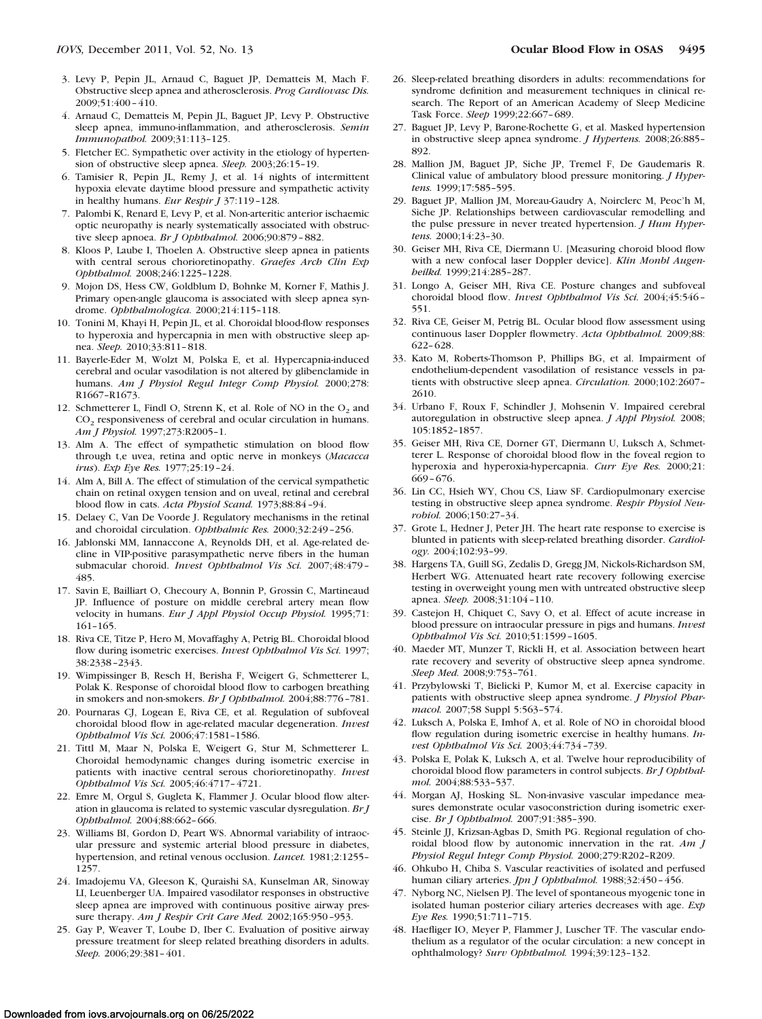- 3. Levy P, Pepin JL, Arnaud C, Baguet JP, Dematteis M, Mach F. Obstructive sleep apnea and atherosclerosis. *Prog Cardiovasc Dis.* 2009;51:400 – 410.
- 4. Arnaud C, Dematteis M, Pepin JL, Baguet JP, Levy P. Obstructive sleep apnea, immuno-inflammation, and atherosclerosis. *Semin Immunopathol.* 2009;31:113–125.
- 5. Fletcher EC. Sympathetic over activity in the etiology of hypertension of obstructive sleep apnea. *Sleep.* 2003;26:15–19.
- 6. Tamisier R, Pepin JL, Remy J, et al. 14 nights of intermittent hypoxia elevate daytime blood pressure and sympathetic activity in healthy humans. *Eur Respir J* 37:119 –128.
- 7. Palombi K, Renard E, Levy P, et al. Non-arteritic anterior ischaemic optic neuropathy is nearly systematically associated with obstructive sleep apnoea. *Br J Ophthalmol.* 2006;90:879 – 882.
- 8. Kloos P, Laube I, Thoelen A. Obstructive sleep apnea in patients with central serous chorioretinopathy. *Graefes Arch Clin Exp Ophthalmol.* 2008;246:1225–1228.
- 9. Mojon DS, Hess CW, Goldblum D, Bohnke M, Korner F, Mathis J. Primary open-angle glaucoma is associated with sleep apnea syndrome. *Ophthalmologica.* 2000;214:115–118.
- 10. Tonini M, Khayi H, Pepin JL, et al. Choroidal blood-flow responses to hyperoxia and hypercapnia in men with obstructive sleep apnea. *Sleep.* 2010;33:811– 818.
- 11. Bayerle-Eder M, Wolzt M, Polska E, et al. Hypercapnia-induced cerebral and ocular vasodilation is not altered by glibenclamide in humans. *Am J Physiol Regul Integr Comp Physiol.* 2000;278: R1667–R1673.
- 12. Schmetterer L, Findl O, Strenn K, et al. Role of NO in the  $O<sub>2</sub>$  and CO<sub>2</sub> responsiveness of cerebral and ocular circulation in humans. *Am J Physiol.* 1997;273:R2005–1.
- 13. Alm A. The effect of sympathetic stimulation on blood flow through t,e uvea, retina and optic nerve in monkeys (*Macacca irus*). *Exp Eye Res.* 1977;25:19 –24.
- 14. Alm A, Bill A. The effect of stimulation of the cervical sympathetic chain on retinal oxygen tension and on uveal, retinal and cerebral blood flow in cats. *Acta Physiol Scand.* 1973;88:84 –94.
- 15. Delaey C, Van De Voorde J. Regulatory mechanisms in the retinal and choroidal circulation. *Ophthalmic Res.* 2000;32:249 –256.
- 16. Jablonski MM, Iannaccone A, Reynolds DH, et al. Age-related decline in VIP-positive parasympathetic nerve fibers in the human submacular choroid. *Invest Ophthalmol Vis Sci.* 2007;48:479 – 485.
- 17. Savin E, Bailliart O, Checoury A, Bonnin P, Grossin C, Martineaud JP. Influence of posture on middle cerebral artery mean flow velocity in humans. *Eur J Appl Physiol Occup Physiol.* 1995;71: 161–165.
- 18. Riva CE, Titze P, Hero M, Movaffaghy A, Petrig BL. Choroidal blood flow during isometric exercises. *Invest Ophthalmol Vis Sci.* 1997; 38:2338 –2343.
- 19. Wimpissinger B, Resch H, Berisha F, Weigert G, Schmetterer L, Polak K. Response of choroidal blood flow to carbogen breathing in smokers and non-smokers. *Br J Ophthalmol.* 2004;88:776 –781.
- 20. Pournaras CJ, Logean E, Riva CE, et al. Regulation of subfoveal choroidal blood flow in age-related macular degeneration. *Invest Ophthalmol Vis Sci.* 2006;47:1581–1586.
- 21. Tittl M, Maar N, Polska E, Weigert G, Stur M, Schmetterer L. Choroidal hemodynamic changes during isometric exercise in patients with inactive central serous chorioretinopathy. *Invest Ophthalmol Vis Sci.* 2005;46:4717– 4721.
- 22. Emre M, Orgul S, Gugleta K, Flammer J. Ocular blood flow alteration in glaucoma is related to systemic vascular dysregulation. *Br J Ophthalmol.* 2004;88:662– 666.
- 23. Williams BI, Gordon D, Peart WS. Abnormal variability of intraocular pressure and systemic arterial blood pressure in diabetes, hypertension, and retinal venous occlusion. *Lancet.* 1981;2:1255– 1257.
- 24. Imadojemu VA, Gleeson K, Quraishi SA, Kunselman AR, Sinoway LI, Leuenberger UA. Impaired vasodilator responses in obstructive sleep apnea are improved with continuous positive airway pressure therapy. *Am J Respir Crit Care Med.* 2002;165:950 –953.
- 25. Gay P, Weaver T, Loube D, Iber C. Evaluation of positive airway pressure treatment for sleep related breathing disorders in adults. *Sleep.* 2006;29:381– 401.
- 26. Sleep-related breathing disorders in adults: recommendations for syndrome definition and measurement techniques in clinical research. The Report of an American Academy of Sleep Medicine Task Force. *Sleep* 1999;22:667– 689.
- 27. Baguet JP, Levy P, Barone-Rochette G, et al. Masked hypertension in obstructive sleep apnea syndrome. *J Hypertens.* 2008;26:885– 892.
- 28. Mallion JM, Baguet JP, Siche JP, Tremel F, De Gaudemaris R. Clinical value of ambulatory blood pressure monitoring. *J Hypertens.* 1999;17:585–595.
- 29. Baguet JP, Mallion JM, Moreau-Gaudry A, Noirclerc M, Peoc'h M, Siche JP. Relationships between cardiovascular remodelling and the pulse pressure in never treated hypertension. *J Hum Hypertens.* 2000;14:23–30.
- 30. Geiser MH, Riva CE, Diermann U. [Measuring choroid blood flow with a new confocal laser Doppler device]. *Klin Monbl Augenheilkd.* 1999;214:285–287.
- 31. Longo A, Geiser MH, Riva CE. Posture changes and subfoveal choroidal blood flow. *Invest Ophthalmol Vis Sci.* 2004;45:546 – 551.
- 32. Riva CE, Geiser M, Petrig BL. Ocular blood flow assessment using continuous laser Doppler flowmetry. *Acta Ophthalmol.* 2009;88: 622– 628.
- 33. Kato M, Roberts-Thomson P, Phillips BG, et al. Impairment of endothelium-dependent vasodilation of resistance vessels in patients with obstructive sleep apnea. *Circulation.* 2000;102:2607– 2610.
- 34. Urbano F, Roux F, Schindler J, Mohsenin V. Impaired cerebral autoregulation in obstructive sleep apnea. *J Appl Physiol.* 2008; 105:1852–1857.
- 35. Geiser MH, Riva CE, Dorner GT, Diermann U, Luksch A, Schmetterer L. Response of choroidal blood flow in the foveal region to hyperoxia and hyperoxia-hypercapnia. *Curr Eye Res.* 2000;21: 669 – 676.
- 36. Lin CC, Hsieh WY, Chou CS, Liaw SF. Cardiopulmonary exercise testing in obstructive sleep apnea syndrome. *Respir Physiol Neurobiol.* 2006;150:27–34.
- 37. Grote L, Hedner J, Peter JH. The heart rate response to exercise is blunted in patients with sleep-related breathing disorder. *Cardiology.* 2004;102:93–99.
- 38. Hargens TA, Guill SG, Zedalis D, Gregg JM, Nickols-Richardson SM, Herbert WG. Attenuated heart rate recovery following exercise testing in overweight young men with untreated obstructive sleep apnea. *Sleep.* 2008;31:104 –110.
- 39. Castejon H, Chiquet C, Savy O, et al. Effect of acute increase in blood pressure on intraocular pressure in pigs and humans. *Invest Ophthalmol Vis Sci.* 2010;51:1599 –1605.
- 40. Maeder MT, Munzer T, Rickli H, et al. Association between heart rate recovery and severity of obstructive sleep apnea syndrome. *Sleep Med.* 2008;9:753–761.
- 41. Przybylowski T, Bielicki P, Kumor M, et al. Exercise capacity in patients with obstructive sleep apnea syndrome. *J Physiol Pharmacol.* 2007;58 Suppl 5:563–574.
- 42. Luksch A, Polska E, Imhof A, et al. Role of NO in choroidal blood flow regulation during isometric exercise in healthy humans. *Invest Ophthalmol Vis Sci.* 2003;44:734 –739.
- 43. Polska E, Polak K, Luksch A, et al. Twelve hour reproducibility of choroidal blood flow parameters in control subjects. *Br J Ophthalmol.* 2004;88:533–537.
- 44. Morgan AJ, Hosking SL. Non-invasive vascular impedance measures demonstrate ocular vasoconstriction during isometric exercise. *Br J Ophthalmol.* 2007;91:385–390.
- 45. Steinle JJ, Krizsan-Agbas D, Smith PG. Regional regulation of choroidal blood flow by autonomic innervation in the rat. *Am J Physiol Regul Integr Comp Physiol.* 2000;279:R202–R209.
- 46. Ohkubo H, Chiba S. Vascular reactivities of isolated and perfused human ciliary arteries. *Jpn J Ophthalmol*. 1988;32:450 - 456.
- 47. Nyborg NC, Nielsen PJ. The level of spontaneous myogenic tone in isolated human posterior ciliary arteries decreases with age. *Exp Eye Res.* 1990;51:711–715.
- 48. Haefliger IO, Meyer P, Flammer J, Luscher TF. The vascular endothelium as a regulator of the ocular circulation: a new concept in ophthalmology? *Surv Ophthalmol.* 1994;39:123–132.